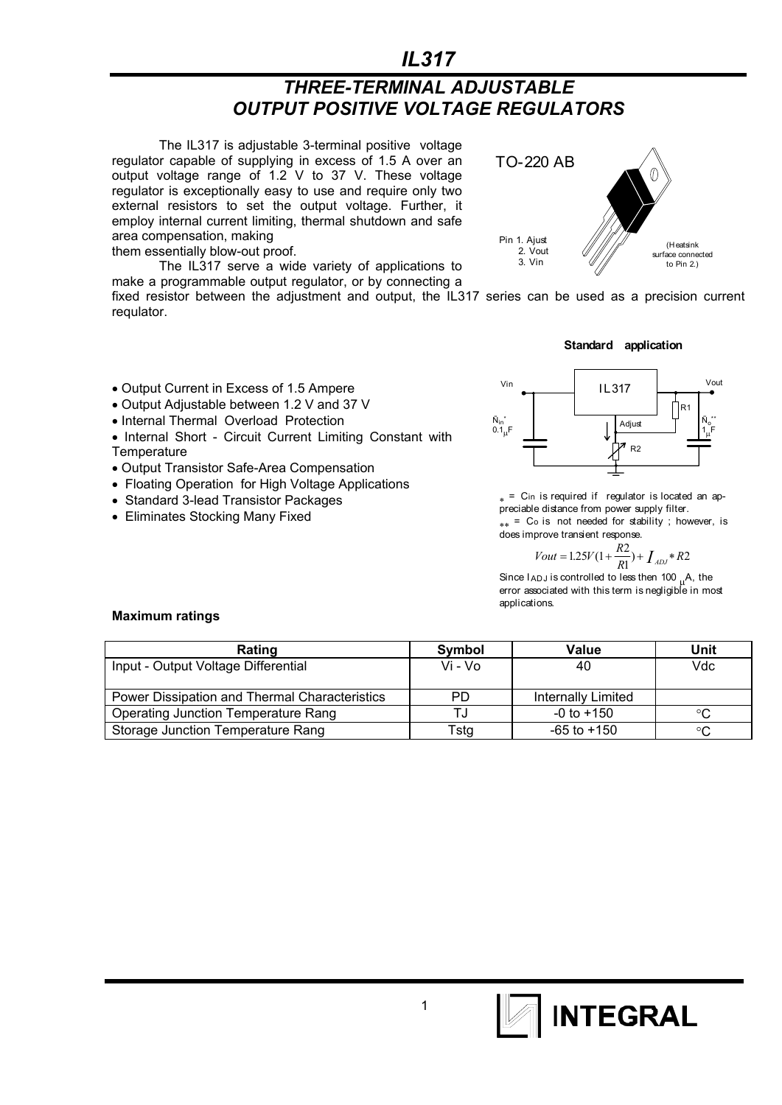## $IL317$

## **THREE-TERMINAL ADJUSTABLE OUTPUT POSITIVE VOLTAGE REGULATORS**

The IL317 is adjustable 3-terminal positive voltage regulator capable of supplying in excess of 1.5 A over an output voltage range of 1.2 V to 37 V. These voltage regulator is exceptionally easy to use and require only two external resistors to set the output voltage. Further, it employ internal current limiting, thermal shutdown and safe area compensation, making them essentially blow-out proof.



The IL317 serve a wide variety of applications to make a programmable output regulator, or by connecting a

fixed resistor between the adjustment and output, the IL317 series can be used as a precision current regulator.

Standard application

- Output Current in Excess of 1.5 Ampere
- Output Adjustable between 1.2 V and 37 V
- Internal Thermal Overload Protection
- Internal Short Circuit Current Limiting Constant with Temperature
- Output Transistor Safe-Area Compensation
- Floating Operation for High Voltage Applications
- Standard 3-lead Transistor Packages
- Eliminates Stocking Many Fixed



 $_{*}$  = C<sub>in</sub> is required if regulator is located an appreciable distance from power supply filter.  $_{**}$  = Co is not needed for stability; however, is does improve transient response.

$$
Vout = 1.25V(1 + \frac{R2}{R1}) + \int_{ADJ} *R2
$$

Since  $I_{ADJ}$  is controlled to less then 100  $_{II}A$ , the error associated with this term is negligible in most applications

#### **Maximum ratings**

| Rating                                        | Symbol  | Value              | Unit |
|-----------------------------------------------|---------|--------------------|------|
| Input - Output Voltage Differential           | Vi - Vo | 40                 | Vdc  |
|                                               |         |                    |      |
| Power Dissipation and Thermal Characteristics | PD.     | Internally Limited |      |
| <b>Operating Junction Temperature Rang</b>    |         | $-0$ to $+150$     | °C   |
| Storage Junction Temperature Rang             | Tstg    | -65 to +150        |      |